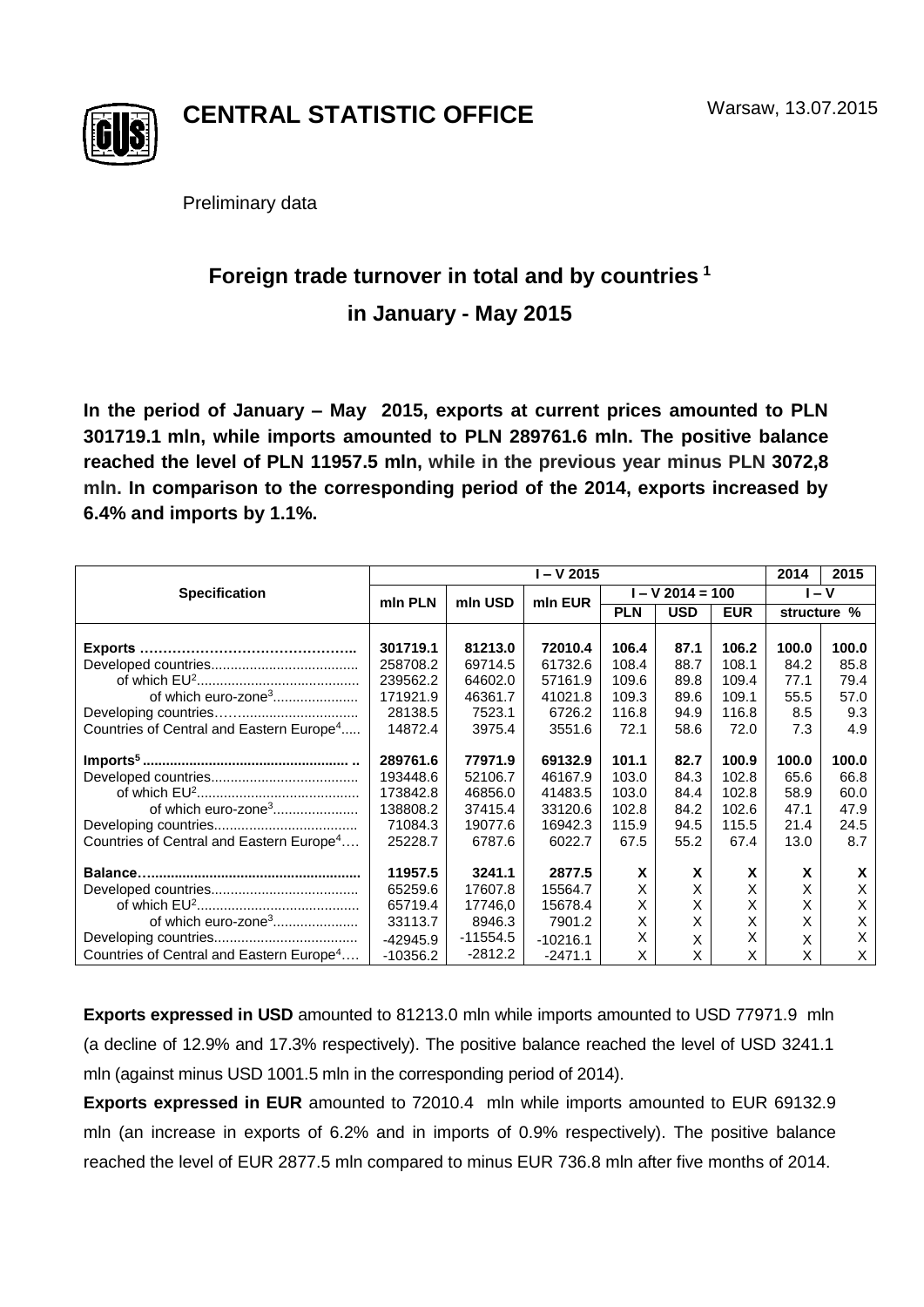

**CENTRAL STATISTIC OFFICE**

Preliminary data

# **Foreign trade turnover in total and by countries <sup>1</sup> in January - May 2015**

**In the period of January – May 2015, exports at current prices amounted to PLN 301719.1 mln, while imports amounted to PLN 289761.6 mln. The positive balance reached the level of PLN 11957.5 mln, while in the previous year minus PLN 3072,8 mln. In comparison to the corresponding period of the 2014, exports increased by 6.4% and imports by 1.1%.**

|                                                      | $\sqrt{1 - V}$ 2015 |            |            |                    |            |            | 2014        | 2015  |
|------------------------------------------------------|---------------------|------------|------------|--------------------|------------|------------|-------------|-------|
| <b>Specification</b>                                 | min PLN             | mln USD    | min EUR    | $I - V$ 2014 = 100 |            |            | $I - V$     |       |
|                                                      |                     |            |            | <b>PLN</b>         | <b>USD</b> | <b>EUR</b> | structure % |       |
|                                                      |                     |            |            |                    |            |            |             |       |
|                                                      | 301719.1            | 81213.0    | 72010.4    | 106.4              | 87.1       | 106.2      | 100.0       | 100.0 |
|                                                      | 258708.2            | 69714.5    | 61732.6    | 108.4              | 88.7       | 108.1      | 84.2        | 85.8  |
|                                                      | 239562.2            | 64602.0    | 57161.9    | 109.6              | 89.8       | 109.4      | 77.1        | 79.4  |
| of which euro-zone <sup>3</sup>                      | 171921.9            | 46361.7    | 41021.8    | 109.3              | 89.6       | 109.1      | 55.5        | 57.0  |
|                                                      | 28138.5             | 7523.1     | 6726.2     | 116.8              | 94.9       | 116.8      | 8.5         | 9.3   |
| Countries of Central and Eastern Europe <sup>4</sup> | 14872.4             | 3975.4     | 3551.6     | 72.1               | 58.6       | 72.0       | 7.3         | 4.9   |
|                                                      | 289761.6            | 77971.9    | 69132.9    | 101.1              | 82.7       | 100.9      | 100.0       | 100.0 |
|                                                      | 193448.6            | 52106.7    | 46167.9    | 103.0              | 84.3       | 102.8      | 65.6        | 66.8  |
|                                                      | 173842.8            | 46856.0    | 41483.5    | 103.0              | 84.4       | 102.8      | 58.9        | 60.0  |
|                                                      | 138808.2            | 37415.4    | 33120.6    | 102.8              | 84.2       | 102.6      | 47.1        | 47.9  |
|                                                      | 71084.3             | 19077.6    | 16942.3    | 115.9              | 94.5       | 115.5      | 21.4        | 24.5  |
| Countries of Central and Eastern Europe <sup>4</sup> | 25228.7             | 6787.6     | 6022.7     | 67.5               | 55.2       | 67.4       | 13.0        | 8.7   |
|                                                      | 11957.5             | 3241.1     | 2877.5     | X                  | X          | X          | X           | X     |
|                                                      | 65259.6             | 17607.8    | 15564.7    | X                  | X          | Χ          | X           | X     |
|                                                      | 65719.4             | 17746,0    | 15678.4    | X                  | Χ          | X          | X           | X     |
|                                                      | 33113.7             | 8946.3     | 7901.2     | X                  | X          | Χ          | X           | Χ     |
|                                                      | $-42945.9$          | $-11554.5$ | $-10216.1$ | X                  | X          | X          | X           | X     |
| Countries of Central and Eastern Europe <sup>4</sup> | $-10356.2$          | $-2812.2$  | $-2471.1$  | X                  | X          | X          | x           | X     |

**Exports expressed in USD** amounted to 81213.0 mln while imports amounted to USD 77971.9 mln (a decline of 12.9% and 17.3% respectively). The positive balance reached the level of USD 3241.1 mln (against minus USD 1001.5 mln in the corresponding period of 2014).

**Exports expressed in EUR** amounted to 72010.4 mln while imports amounted to EUR 69132.9 mln (an increase in exports of 6.2% and in imports of 0.9% respectively). The positive balance reached the level of EUR 2877.5 mln compared to minus EUR 736.8 mln after five months of 2014.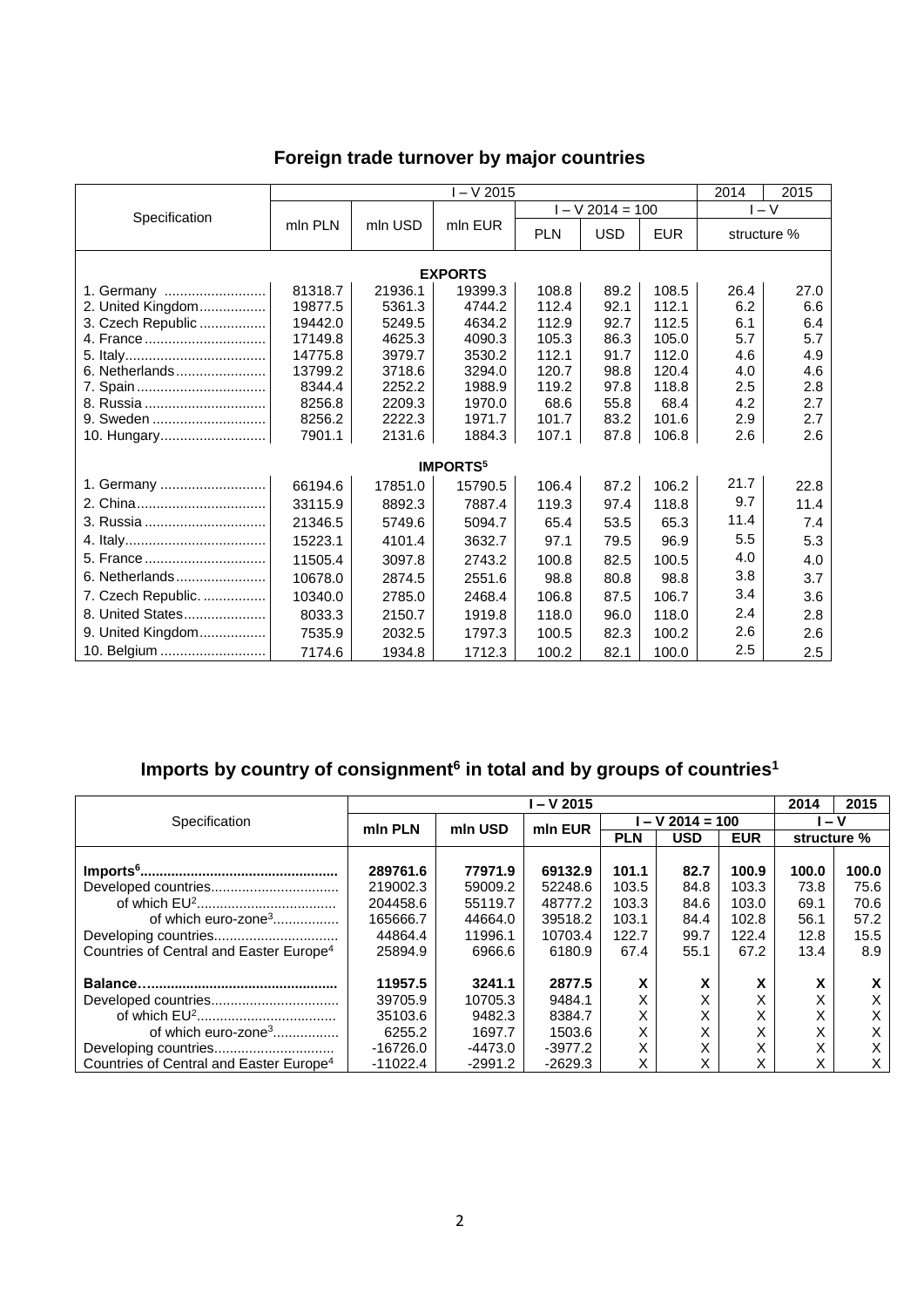## **Foreign trade turnover by major countries**

|                    | I – V 2015 |         |                             |            |                    |            | 2014<br>2015 |      |  |  |  |
|--------------------|------------|---------|-----------------------------|------------|--------------------|------------|--------------|------|--|--|--|
| Specification      |            |         | mln EUR                     |            | $I - V 2014 = 100$ | $-V$       |              |      |  |  |  |
|                    | mln PLN    | mln USD |                             | <b>PLN</b> | <b>USD</b>         | <b>EUR</b> | structure %  |      |  |  |  |
| <b>EXPORTS</b>     |            |         |                             |            |                    |            |              |      |  |  |  |
| 1. Germany         | 81318.7    | 21936.1 | 19399.3                     | 108.8      | 89.2               | 108.5      | 26.4         | 27.0 |  |  |  |
| 2. United Kingdom  | 19877.5    | 5361.3  | 4744.2                      | 112.4      | 92.1               | 112.1      | 6.2          | 6.6  |  |  |  |
| 3. Czech Republic  | 19442.0    | 5249.5  | 4634.2                      | 112.9      | 92.7               | 112.5      | 6.1          | 6.4  |  |  |  |
| 4. France          | 17149.8    | 4625.3  | 4090.3                      | 105.3      | 86.3               | 105.0      | 5.7          | 5.7  |  |  |  |
|                    | 14775.8    | 3979.7  | 3530.2                      | 112.1      | 91.7               | 112.0      | 4.6          | 4.9  |  |  |  |
| 6. Netherlands     | 13799.2    | 3718.6  | 3294.0                      | 120.7      | 98.8               | 120.4      | 4.0          | 4.6  |  |  |  |
|                    | 8344.4     | 2252.2  | 1988.9                      | 119.2      | 97.8               | 118.8      | 2.5          | 2.8  |  |  |  |
| 8. Russia          | 8256.8     | 2209.3  | 1970.0                      | 68.6       | 55.8               | 68.4       | 4.2          | 2.7  |  |  |  |
| 9. Sweden          | 8256.2     | 2222.3  | 1971.7                      | 101.7      | 83.2               | 101.6      | 2.9          | 2.7  |  |  |  |
| 10. Hungary        | 7901.1     | 2131.6  | 1884.3                      | 107.1      | 87.8               | 106.8      | 2.6          | 2.6  |  |  |  |
|                    |            |         | <b>IMPORTS</b> <sup>5</sup> |            |                    |            |              |      |  |  |  |
| 1. Germany         | 66194.6    | 17851.0 | 15790.5                     | 106.4      | 87.2               | 106.2      | 21.7         | 22.8 |  |  |  |
|                    | 33115.9    | 8892.3  | 7887.4                      | 119.3      | 97.4               | 118.8      | 9.7          | 11.4 |  |  |  |
| 3. Russia          | 21346.5    | 5749.6  | 5094.7                      | 65.4       | 53.5               | 65.3       | 11.4         | 7.4  |  |  |  |
|                    | 15223.1    | 4101.4  | 3632.7                      | 97.1       | 79.5               | 96.9       | 5.5          | 5.3  |  |  |  |
| 5. France          | 11505.4    | 3097.8  | 2743.2                      | 100.8      | 82.5               | 100.5      | 4.0          | 4.0  |  |  |  |
| 6. Netherlands     | 10678.0    | 2874.5  | 2551.6                      | 98.8       | 80.8               | 98.8       | 3.8          | 3.7  |  |  |  |
| 7. Czech Republic. | 10340.0    | 2785.0  | 2468.4                      | 106.8      | 87.5               | 106.7      | 3.4          | 3.6  |  |  |  |
| 8. United States   | 8033.3     | 2150.7  | 1919.8                      | 118.0      | 96.0               | 118.0      | 2.4          | 2.8  |  |  |  |
| 9. United Kingdom  | 7535.9     | 2032.5  | 1797.3                      | 100.5      | 82.3               | 100.2      | 2.6          | 2.6  |  |  |  |
| 10. Belgium        | 7174.6     | 1934.8  | 1712.3                      | 100.2      | 82.1               | 100.0      | 2.5          | 2.5  |  |  |  |

#### **Imports by country of consignment<sup>6</sup> in total and by groups of countries<sup>1</sup>**

|                                                     | l – V 2015 |         |           |                 |            |            |             | 2015  |
|-----------------------------------------------------|------------|---------|-----------|-----------------|------------|------------|-------------|-------|
| Specification                                       | min PLN    | mln USD | min EUR   | $-V$ 2014 = 100 |            |            | ∣ – V       |       |
|                                                     |            |         |           | <b>PLN</b>      | <b>USD</b> | <b>EUR</b> | structure % |       |
|                                                     |            |         |           |                 |            |            |             |       |
|                                                     | 289761.6   | 77971.9 | 69132.9   | 101.1           | 82.7       | 100.9      | 100.0       | 100.0 |
| Developed countries                                 | 219002.3   | 59009.2 | 52248.6   | 103.5           | 84.8       | 103.3      | 73.8        | 75.6  |
|                                                     | 204458.6   | 55119.7 | 48777.2   | 103.3           | 84.6       | 103.0      | 69.1        | 70.6  |
| of which euro-zone <sup>3</sup>                     | 165666.7   | 44664.0 | 39518.2   | 103.1           | 84.4       | 102.8      | 56.1        | 57.2  |
|                                                     | 44864.4    | 11996.1 | 10703.4   | 122.7           | 99.7       | 122.4      | 12.8        | 15.5  |
| Countries of Central and Easter Europe <sup>4</sup> | 25894.9    | 6966.6  | 6180.9    | 67.4            | 55.1       | 67.2       | 13.4        | 8.9   |
|                                                     | 11957.5    | 3241.1  | 2877.5    | X               | X          | X          | x           | X     |
| Developed countries                                 | 39705.9    | 10705.3 | 9484.1    | X               | X          | X          | X           | X     |
|                                                     | 35103.6    | 9482.3  | 8384.7    | Χ               | X          | X          | Χ           | X     |
| of which euro-zone <sup>3</sup>                     | 6255.2     | 1697.7  | 1503.6    | X               | X          | X          | Χ           | X     |
|                                                     | -16726.0   | -4473.0 | $-3977.2$ | X               | X          | v<br>ᄉ     | v<br>⋏      | X     |
| Countries of Central and Easter Europe <sup>4</sup> | $-11022.4$ | -2991.2 | $-2629.3$ | Χ               | X          | x          | Χ           | X     |